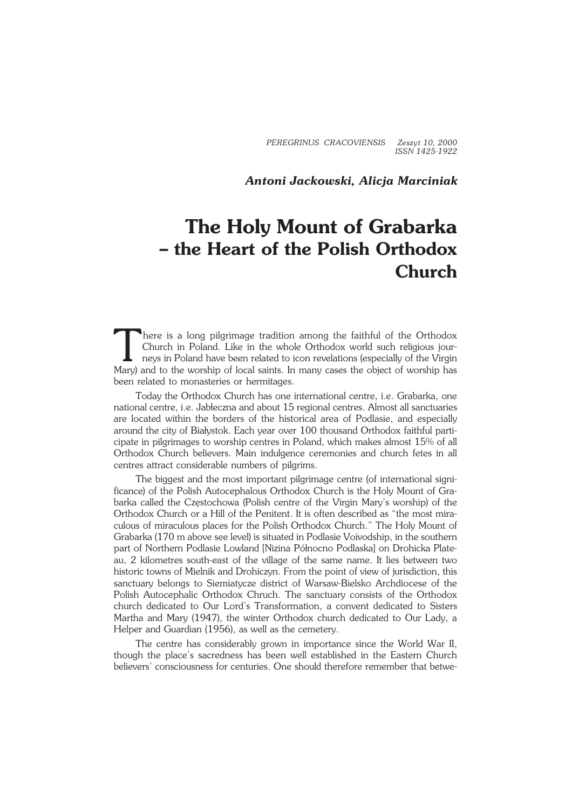*PEREGRINUS CRACOVIENSIS Zeszyt 10, 2000 ISSN 1425−1922*

*Antoni Jackowski, Alicja Marciniak*

## **The Holy Mount of Grabarka – the Heart of the Polish Orthodox Church**

There is a long pilgrimage tradition among the faithful of the Orthodox Church in Poland. Like in the whole Orthodox world such religious journeys in Poland have been related to icon revelations (especially of the Virgin M here is a long pilgrimage tradition among the faithful of the Orthodox Church in Poland. Like in the whole Orthodox world such religious jour− neys in Poland have been related to icon revelations (especially of the Virgin been related to monasteries or hermitages.

Today the Orthodox Church has one international centre, i.e. Grabarka, one national centre, i.e. Jabłeczna and about 15 regional centres. Almost all sanctuaries are located within the borders of the historical area of Podlasie, and especially around the city of Białystok. Each year over 100 thousand Orthodox faithful parti− cipate in pilgrimages to worship centres in Poland, which makes almost 15% of all Orthodox Church believers. Main indulgence ceremonies and church fetes in all centres attract considerable numbers of pilgrims.

The biggest and the most important pilgrimage centre (of international significance) of the Polish Autocephalous Orthodox Church is the Holy Mount of Gra− barka called the Częstochowa (Polish centre of the Virgin Mary's worship) of the Orthodox Church or a Hill of the Penitent. It is often described as "the most mira− culous of miraculous places for the Polish Orthodox Church." The Holy Mount of Grabarka (170 m above see level) is situated in Podlasie Voivodship, in the southern part of Northern Podlasie Lowland [Nizina Północno Podlaska] on Drohicka Plate− au, 2 kilometres south−east of the village of the same name. It lies between two historic towns of Mielnik and Drohiczyn. From the point of view of jurisdiction, this sanctuary belongs to Siemiatycze district of Warsaw−Bielsko Archdiocese of the Polish Autocephalic Orthodox Chruch. The sanctuary consists of the Orthodox church dedicated to Our Lord's Transformation, a convent dedicated to Sisters Martha and Mary (1947), the winter Orthodox church dedicated to Our Lady, a Helper and Guardian (1956), as well as the cemetery.

The centre has considerably grown in importance since the World War II, though the place's sacredness has been well established in the Eastern Church believers' consciousness for centuries. One should therefore remember that betwe−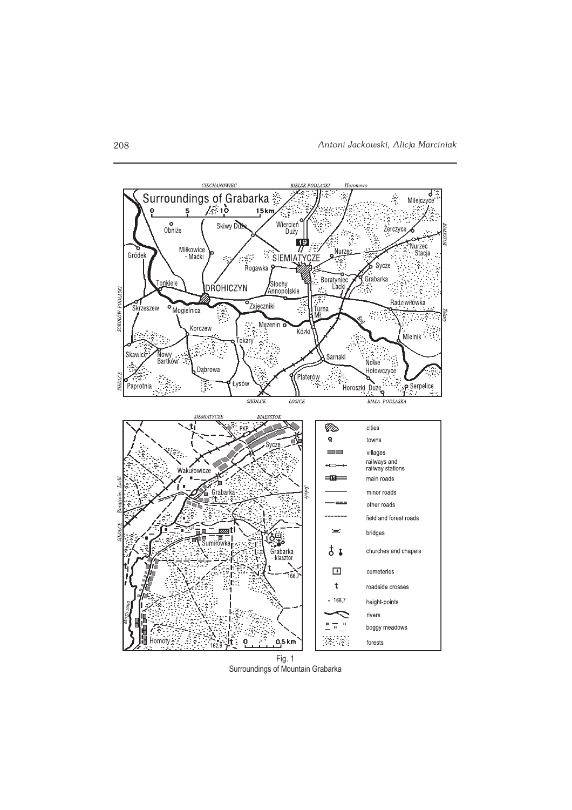

Surroundings of Mountain Grabarka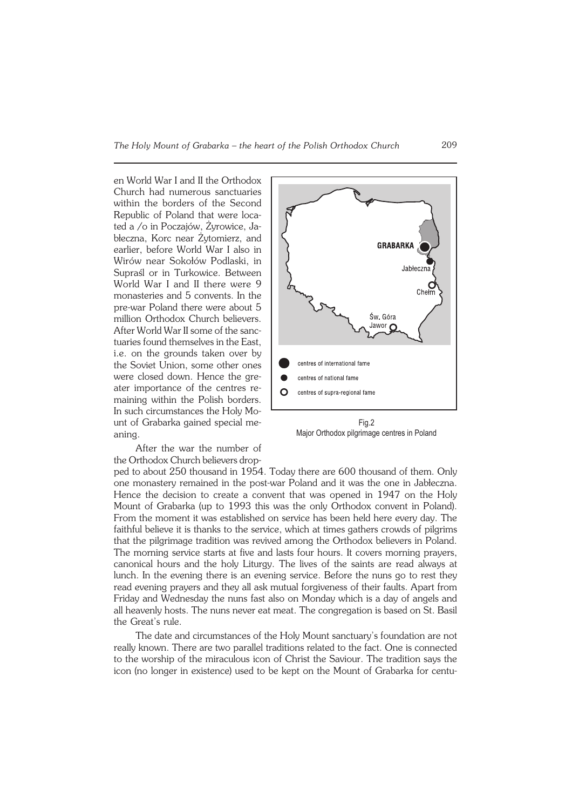en World War I and II the Orthodox Church had numerous sanctuaries within the borders of the Second Republic of Poland that were loca− ted a /o in Poczajów, Żyrowice, Ja− błeczna, Korc near Żytomierz, and earlier, before World War I also in Wirów near Sokołów Podlaski, in Supraśl or in Turkowice. Between World War I and II there were 9 monasteries and 5 convents. In the pre−war Poland there were about 5 million Orthodox Church believers. After World War II some of the sanc− tuaries found themselves in the East, i.e. on the grounds taken over by the Soviet Union, some other ones were closed down. Hence the gre− ater importance of the centres re− maining within the Polish borders. In such circumstances the Holy Mo− unt of Grabarka gained special me− aning.

After the war the number of the Orthodox Church believers drop−



Major Orthodox pilgrimage centres in Poland

ped to about 250 thousand in 1954. Today there are 600 thousand of them. Only one monastery remained in the post−war Poland and it was the one in Jabłeczna. Hence the decision to create a convent that was opened in 1947 on the Holy Mount of Grabarka (up to 1993 this was the only Orthodox convent in Poland). From the moment it was established on service has been held here every day. The faithful believe it is thanks to the service, which at times gathers crowds of pilgrims that the pilgrimage tradition was revived among the Orthodox believers in Poland. The morning service starts at five and lasts four hours. It covers morning prayers, canonical hours and the holy Liturgy. The lives of the saints are read always at lunch. In the evening there is an evening service. Before the nuns go to rest they read evening prayers and they all ask mutual forgiveness of their faults. Apart from Friday and Wednesday the nuns fast also on Monday which is a day of angels and all heavenly hosts. The nuns never eat meat. The congregation is based on St. Basil the Great's rule.

The date and circumstances of the Holy Mount sanctuary's foundation are not really known. There are two parallel traditions related to the fact. One is connected to the worship of the miraculous icon of Christ the Saviour. The tradition says the icon (no longer in existence) used to be kept on the Mount of Grabarka for centu−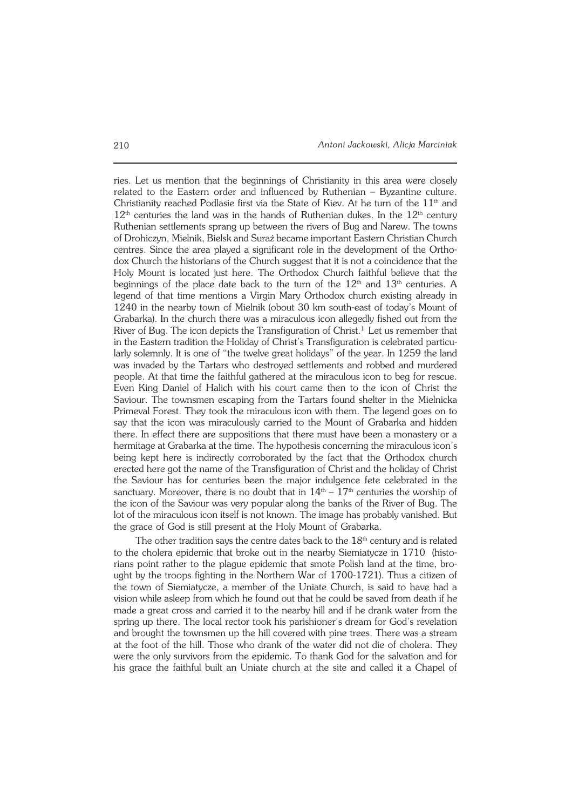ries. Let us mention that the beginnings of Christianity in this area were closely related to the Eastern order and influenced by Ruthenian – Byzantine culture. Christianity reached Podlasie first via the State of Kiev. At he turn of the  $11<sup>th</sup>$  and  $12<sup>th</sup>$  centuries the land was in the hands of Ruthenian dukes. In the  $12<sup>th</sup>$  century Ruthenian settlements sprang up between the rivers of Bug and Narew. The towns of Drohiczyn, Mielnik, Bielsk and Suraż became important Eastern Christian Church centres. Since the area played a significant role in the development of the Ortho− dox Church the historians of the Church suggest that it is not a coincidence that the Holy Mount is located just here. The Orthodox Church faithful believe that the beginnings of the place date back to the turn of the  $12<sup>th</sup>$  and  $13<sup>th</sup>$  centuries. A legend of that time mentions a Virgin Mary Orthodox church existing already in 1240 in the nearby town of Mielnik (obout 30 km south−east of today's Mount of Grabarka). In the church there was a miraculous icon allegedly fished out from the River of Bug. The icon depicts the Transfiguration of Christ.<sup>1</sup> Let us remember that in the Eastern tradition the Holiday of Christ's Transfiguration is celebrated particu− larly solemnly. It is one of "the twelve great holidays" of the year. In 1259 the land was invaded by the Tartars who destroyed settlements and robbed and murdered people. At that time the faithful gathered at the miraculous icon to beg for rescue. Even King Daniel of Halich with his court came then to the icon of Christ the Saviour. The townsmen escaping from the Tartars found shelter in the Mielnicka Primeval Forest. They took the miraculous icon with them. The legend goes on to say that the icon was miraculously carried to the Mount of Grabarka and hidden there. In effect there are suppositions that there must have been a monastery or a hermitage at Grabarka at the time. The hypothesis concerning the miraculous icon's being kept here is indirectly corroborated by the fact that the Orthodox church erected here got the name of the Transfiguration of Christ and the holiday of Christ the Saviour has for centuries been the major indulgence fete celebrated in the sanctuary. Moreover, there is no doubt that in  $14<sup>th</sup> - 17<sup>th</sup>$  centuries the worship of the icon of the Saviour was very popular along the banks of the River of Bug. The lot of the miraculous icon itself is not known. The image has probably vanished. But the grace of God is still present at the Holy Mount of Grabarka.

The other tradition says the centre dates back to the 18<sup>th</sup> century and is related to the cholera epidemic that broke out in the nearby Siemiatycze in 1710 (histo− rians point rather to the plague epidemic that smote Polish land at the time, bro− ught by the troops fighting in the Northern War of 1700−1721). Thus a citizen of the town of Siemiatycze, a member of the Uniate Church, is said to have had a vision while asleep from which he found out that he could be saved from death if he made a great cross and carried it to the nearby hill and if he drank water from the spring up there. The local rector took his parishioner's dream for God's revelation and brought the townsmen up the hill covered with pine trees. There was a stream at the foot of the hill. Those who drank of the water did not die of cholera. They were the only survivors from the epidemic. To thank God for the salvation and for his grace the faithful built an Uniate church at the site and called it a Chapel of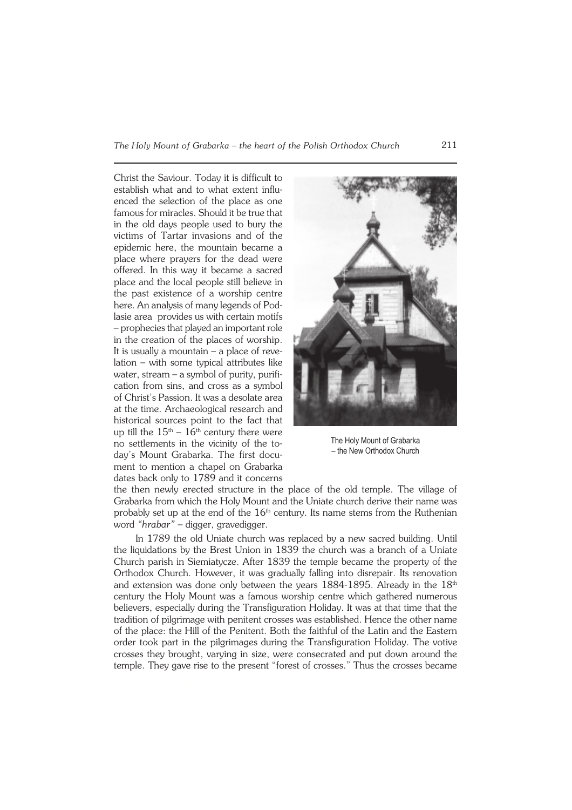Christ the Saviour. Today it is difficult to establish what and to what extent influenced the selection of the place as one famous for miracles. Should it be true that in the old days people used to bury the victims of Tartar invasions and of the epidemic here, the mountain became a place where prayers for the dead were offered. In this way it became a sacred place and the local people still believe in the past existence of a worship centre here. An analysis of many legends of Pod− lasie area provides us with certain motifs – prophecies that played an important role in the creation of the places of worship. It is usually a mountain – a place of reve− lation – with some typical attributes like water, stream – a symbol of purity, purifi− cation from sins, and cross as a symbol of Christ's Passion. It was a desolate area at the time. Archaeological research and historical sources point to the fact that up till the  $15<sup>th</sup> - 16<sup>th</sup>$  century there were no settlements in the vicinity of the to− day's Mount Grabarka. The first docu− ment to mention a chapel on Grabarka dates back only to 1789 and it concerns



The Holy Mount of Grabarka – the New Orthodox Church

the then newly erected structure in the place of the old temple. The village of Grabarka from which the Holy Mount and the Uniate church derive their name was probably set up at the end of the  $16<sup>th</sup>$  century. Its name stems from the Ruthenian word *"hrabar"* – digger, gravedigger.

In 1789 the old Uniate church was replaced by a new sacred building. Until the liquidations by the Brest Union in 1839 the church was a branch of a Uniate Church parish in Siemiatycze. After 1839 the temple became the property of the Orthodox Church. However, it was gradually falling into disrepair. Its renovation and extension was done only between the years 1884-1895. Already in the 18<sup>th</sup> century the Holy Mount was a famous worship centre which gathered numerous believers, especially during the Transfiguration Holiday. It was at that time that the tradition of pilgrimage with penitent crosses was established. Hence the other name of the place: the Hill of the Penitent. Both the faithful of the Latin and the Eastern order took part in the pilgrimages during the Transfiguration Holiday. The votive crosses they brought, varying in size, were consecrated and put down around the temple. They gave rise to the present "forest of crosses." Thus the crosses became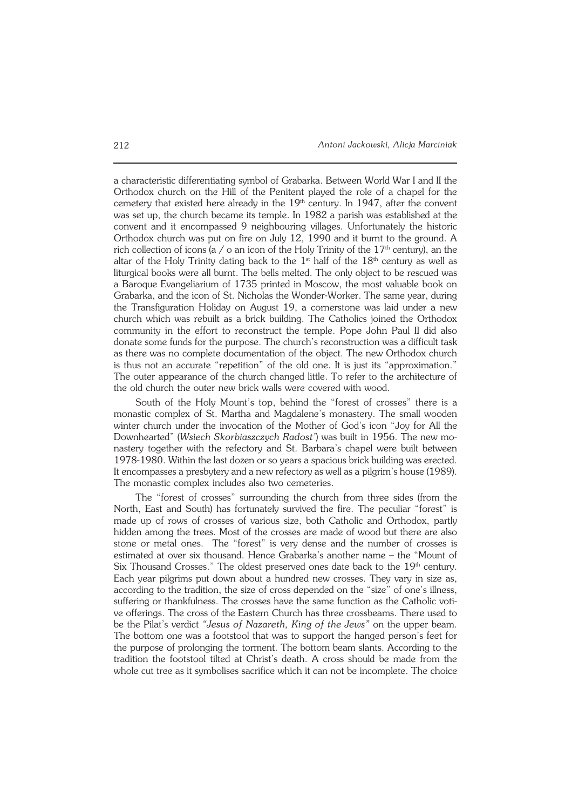a characteristic differentiating symbol of Grabarka. Between World War I and II the Orthodox church on the Hill of the Penitent played the role of a chapel for the cemetery that existed here already in the 19<sup>th</sup> century. In 1947, after the convent was set up, the church became its temple. In 1982 a parish was established at the convent and it encompassed 9 neighbouring villages. Unfortunately the historic Orthodox church was put on fire on July 12, 1990 and it burnt to the ground. A rich collection of icons (a  $/ o$  an icon of the Holy Trinity of the 17<sup>th</sup> century), an the altar of the Holy Trinity dating back to the  $1<sup>st</sup>$  half of the  $18<sup>th</sup>$  century as well as liturgical books were all burnt. The bells melted. The only object to be rescued was a Baroque Evangeliarium of 1735 printed in Moscow, the most valuable book on Grabarka, and the icon of St. Nicholas the Wonder−Worker. The same year, during the Transfiguration Holiday on August 19, a cornerstone was laid under a new church which was rebuilt as a brick building. The Catholics joined the Orthodox community in the effort to reconstruct the temple. Pope John Paul II did also donate some funds for the purpose. The church's reconstruction was a difficult task as there was no complete documentation of the object. The new Orthodox church is thus not an accurate "repetition" of the old one. It is just its "approximation." The outer appearance of the church changed little. To refer to the architecture of the old church the outer new brick walls were covered with wood.

South of the Holy Mount's top, behind the "forest of crosses" there is a monastic complex of St. Martha and Magdalene's monastery. The small wooden winter church under the invocation of the Mother of God's icon "Joy for All the Downhearted" (*Wsiech Skorbiaszczych Radost'*) was built in 1956. The new mo− nastery together with the refectory and St. Barbara's chapel were built between 1978-1980. Within the last dozen or so years a spacious brick building was erected. It encompasses a presbytery and a new refectory as well as a pilgrim's house (1989). The monastic complex includes also two cemeteries.

The "forest of crosses" surrounding the church from three sides (from the North, East and South) has fortunately survived the fire. The peculiar "forest" is made up of rows of crosses of various size, both Catholic and Orthodox, partly hidden among the trees. Most of the crosses are made of wood but there are also stone or metal ones. The "forest" is very dense and the number of crosses is estimated at over six thousand. Hence Grabarka's another name – the "Mount of Six Thousand Crosses." The oldest preserved ones date back to the  $19<sup>th</sup>$  century. Each year pilgrims put down about a hundred new crosses. They vary in size as, according to the tradition, the size of cross depended on the "size" of one's illness, suffering or thankfulness. The crosses have the same function as the Catholic voti− ve offerings. The cross of the Eastern Church has three crossbeams. There used to be the Pilat's verdict *"Jesus of Nazareth, King of the Jews"* on the upper beam. The bottom one was a footstool that was to support the hanged person's feet for the purpose of prolonging the torment. The bottom beam slants. According to the tradition the footstool tilted at Christ's death. A cross should be made from the whole cut tree as it symbolises sacrifice which it can not be incomplete. The choice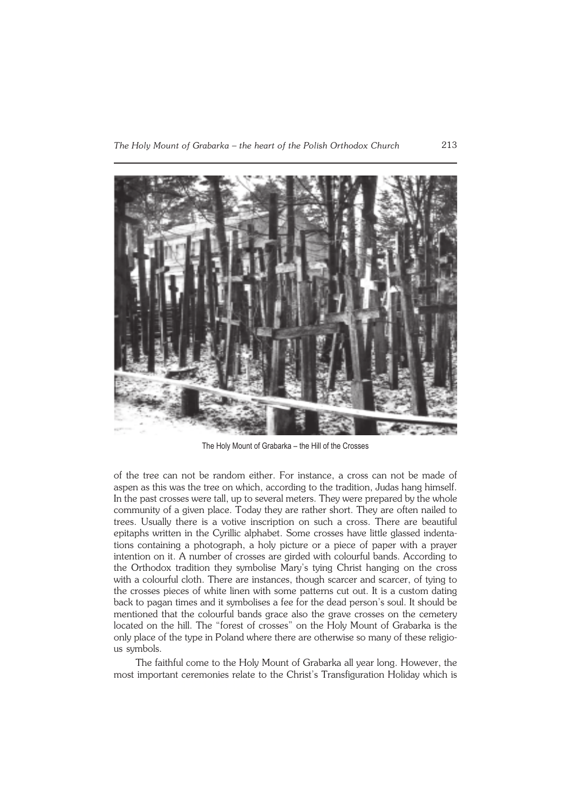

The Holy Mount of Grabarka – the Hill of the Crosses

of the tree can not be random either. For instance, a cross can not be made of aspen as this was the tree on which, according to the tradition, Judas hang himself. In the past crosses were tall, up to several meters. They were prepared by the whole community of a given place. Today they are rather short. They are often nailed to trees. Usually there is a votive inscription on such a cross. There are beautiful epitaphs written in the Cyrillic alphabet. Some crosses have little glassed indentations containing a photograph, a holy picture or a piece of paper with a prayer intention on it. A number of crosses are girded with colourful bands. According to the Orthodox tradition they symbolise Mary's tying Christ hanging on the cross with a colourful cloth. There are instances, though scarcer and scarcer, of tying to the crosses pieces of white linen with some patterns cut out. It is a custom dating back to pagan times and it symbolises a fee for the dead person's soul. It should be mentioned that the colourful bands grace also the grave crosses on the cemetery located on the hill. The "forest of crosses" on the Holy Mount of Grabarka is the only place of the type in Poland where there are otherwise so many of these religio− us symbols.

The faithful come to the Holy Mount of Grabarka all year long. However, the most important ceremonies relate to the Christ's Transfiguration Holiday which is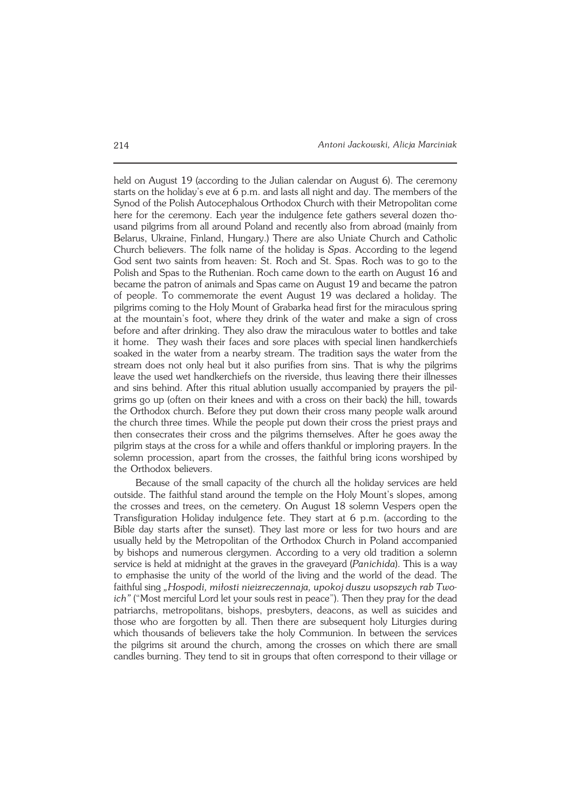held on August 19 (according to the Julian calendar on August 6). The ceremony starts on the holiday's eve at 6 p.m. and lasts all night and day. The members of the Synod of the Polish Autocephalous Orthodox Church with their Metropolitan come here for the ceremony. Each year the indulgence fete gathers several dozen tho− usand pilgrims from all around Poland and recently also from abroad (mainly from Belarus, Ukraine, Finland, Hungary.) There are also Uniate Church and Catholic Church believers. The folk name of the holiday is *Spas*. According to the legend God sent two saints from heaven: St. Roch and St. Spas. Roch was to go to the Polish and Spas to the Ruthenian. Roch came down to the earth on August 16 and became the patron of animals and Spas came on August 19 and became the patron of people. To commemorate the event August 19 was declared a holiday. The pilgrims coming to the Holy Mount of Grabarka head first for the miraculous spring at the mountain's foot, where they drink of the water and make a sign of cross before and after drinking. They also draw the miraculous water to bottles and take it home. They wash their faces and sore places with special linen handkerchiefs soaked in the water from a nearby stream. The tradition says the water from the stream does not only heal but it also purifies from sins. That is why the pilgrims leave the used wet handkerchiefs on the riverside, thus leaving there their illnesses and sins behind. After this ritual ablution usually accompanied by prayers the pil− grims go up (often on their knees and with a cross on their back) the hill, towards the Orthodox church. Before they put down their cross many people walk around the church three times. While the people put down their cross the priest prays and then consecrates their cross and the pilgrims themselves. After he goes away the pilgrim stays at the cross for a while and offers thankful or imploring prayers. In the solemn procession, apart from the crosses, the faithful bring icons worshiped by the Orthodox believers.

Because of the small capacity of the church all the holiday services are held outside. The faithful stand around the temple on the Holy Mount's slopes, among the crosses and trees, on the cemetery. On August 18 solemn Vespers open the Transfiguration Holiday indulgence fete. They start at 6 p.m. (according to the Bible day starts after the sunset). They last more or less for two hours and are usually held by the Metropolitan of the Orthodox Church in Poland accompanied by bishops and numerous clergymen. According to a very old tradition a solemn service is held at midnight at the graves in the graveyard (*Panichida*). This is a way to emphasise the unity of the world of the living and the world of the dead. The faithful sing *"Hospodi, miłosti nieizreczennaja, upokoj duszu usopszych rab Two− ich"* ("Most merciful Lord let your souls rest in peace"). Then they pray for the dead patriarchs, metropolitans, bishops, presbyters, deacons, as well as suicides and those who are forgotten by all. Then there are subsequent holy Liturgies during which thousands of believers take the holy Communion. In between the services the pilgrims sit around the church, among the crosses on which there are small candles burning. They tend to sit in groups that often correspond to their village or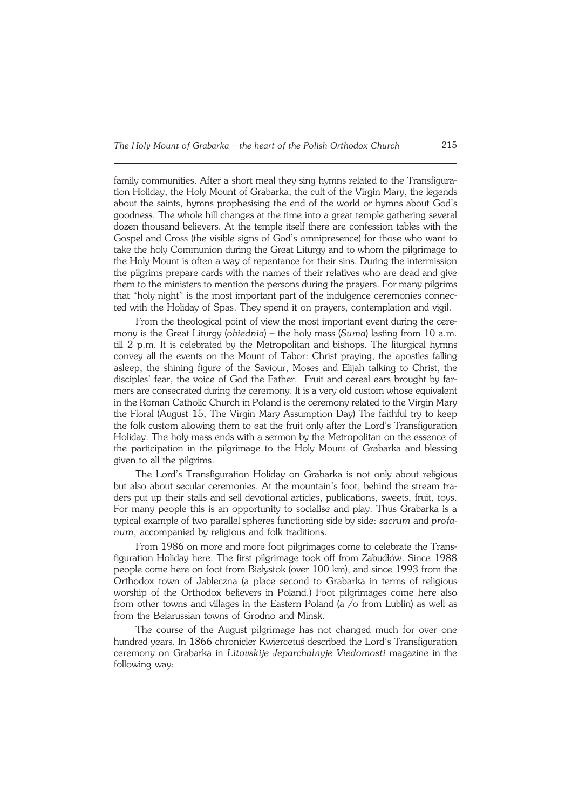family communities. After a short meal they sing hymns related to the Transfigura− tion Holiday, the Holy Mount of Grabarka, the cult of the Virgin Mary, the legends about the saints, hymns prophesising the end of the world or hymns about God's goodness. The whole hill changes at the time into a great temple gathering several dozen thousand believers. At the temple itself there are confession tables with the Gospel and Cross (the visible signs of God's omnipresence) for those who want to take the holy Communion during the Great Liturgy and to whom the pilgrimage to the Holy Mount is often a way of repentance for their sins. During the intermission the pilgrims prepare cards with the names of their relatives who are dead and give them to the ministers to mention the persons during the prayers. For many pilgrims that "holy night" is the most important part of the indulgence ceremonies connec− ted with the Holiday of Spas. They spend it on prayers, contemplation and vigil.

From the theological point of view the most important event during the cere− mony is the Great Liturgy (*obiednia*) – the holy mass (*Suma*) lasting from 10 a.m. till 2 p.m. It is celebrated by the Metropolitan and bishops. The liturgical hymns convey all the events on the Mount of Tabor: Christ praying, the apostles falling asleep, the shining figure of the Saviour, Moses and Elijah talking to Christ, the disciples' fear, the voice of God the Father. Fruit and cereal ears brought by far− mers are consecrated during the ceremony. It is a very old custom whose equivalent in the Roman Catholic Church in Poland is the ceremony related to the Virgin Mary the Floral (August 15, The Virgin Mary Assumption Day) The faithful try to keep the folk custom allowing them to eat the fruit only after the Lord's Transfiguration Holiday. The holy mass ends with a sermon by the Metropolitan on the essence of the participation in the pilgrimage to the Holy Mount of Grabarka and blessing given to all the pilgrims.

The Lord's Transfiguration Holiday on Grabarka is not only about religious but also about secular ceremonies. At the mountain's foot, behind the stream tra− ders put up their stalls and sell devotional articles, publications, sweets, fruit, toys. For many people this is an opportunity to socialise and play. Thus Grabarka is a typical example of two parallel spheres functioning side by side: *sacrum* and *profa− num*, accompanied by religious and folk traditions.

From 1986 on more and more foot pilgrimages come to celebrate the Transfiguration Holiday here. The first pilgrimage took off from Zabudłów. Since 1988 people come here on foot from Białystok (over 100 km), and since 1993 from the Orthodox town of Jabłeczna (a place second to Grabarka in terms of religious worship of the Orthodox believers in Poland.) Foot pilgrimages come here also from other towns and villages in the Eastern Poland (a /o from Lublin) as well as from the Belarussian towns of Grodno and Minsk.

The course of the August pilgrimage has not changed much for over one hundred years. In 1866 chronicler Kwiercetuś described the Lord's Transfiguration ceremony on Grabarka in *Litovskije Jeparchalnyje Viedomosti* magazine in the following way: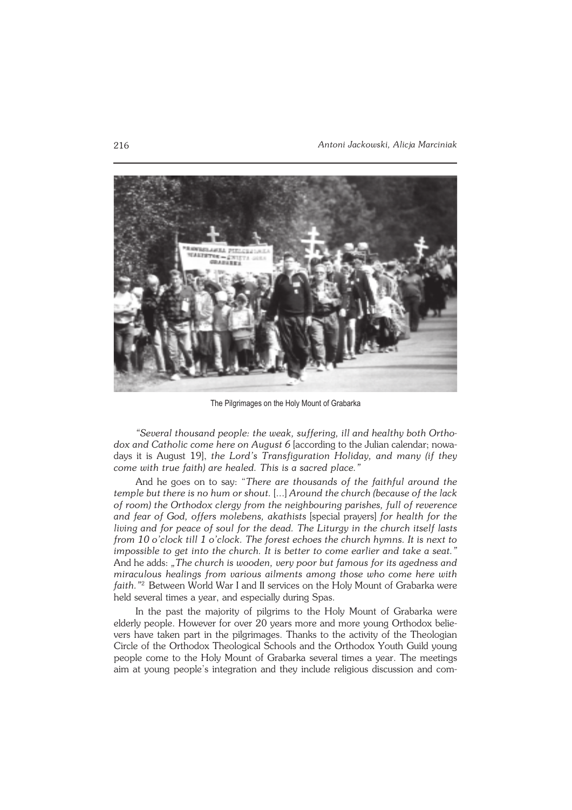

The Pilgrimages on the Holy Mount of Grabarka

*"Several thousand people: the weak, suffering, ill and healthy both Ortho− dox and Catholic come here on August 6* [according to the Julian calendar; nowa− days it is August 19], *the Lord's Transfiguration Holiday, and many (if they come with true faith) are healed. This is a sacred place."*

And he goes on to say: "*There are thousands of the faithful around the temple but there is no hum or shout.* [...] *Around the church (because of the lack of room) the Orthodox clergy from the neighbouring parishes, full of reverence and fear of God, offers molebens, akathists* [special prayers] *for health for the living and for peace of soul for the dead. The Liturgy in the church itself lasts from 10 o'clock till 1 o'clock. The forest echoes the church hymns. It is next to impossible to get into the church. It is better to come earlier and take a seat."* And he adds: *"The church is wooden, very poor but famous for its agedness and miraculous healings from various ailments among those who come here with faith."*<sup>2</sup> Between World War I and II services on the Holy Mount of Grabarka were held several times a year, and especially during Spas.

In the past the majority of pilgrims to the Holy Mount of Grabarka were elderly people. However for over 20 years more and more young Orthodox belie− vers have taken part in the pilgrimages. Thanks to the activity of the Theologian Circle of the Orthodox Theological Schools and the Orthodox Youth Guild young people come to the Holy Mount of Grabarka several times a year. The meetings aim at young people's integration and they include religious discussion and com−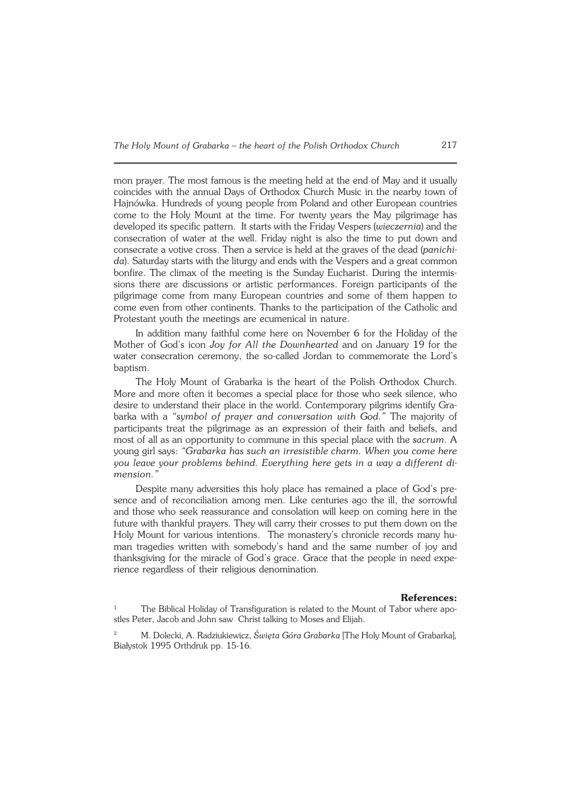mon prayer. The most famous is the meeting held at the end of May and it usually coincides with the annual Days of Orthodox Church Music in the nearby town of Hajnówka. Hundreds of young people from Poland and other European countries come to the Holy Mount at the time. For twenty years the May pilgrimage has developed its specific pattern. It starts with the Friday Vespers (*wieczernia*) and the consecration of water at the well. Friday night is also the time to put down and consecrate a votive cross. Then a service is held at the graves of the dead (*panichi− da*). Saturday starts with the liturgy and ends with the Vespers and a great common bonfire. The climax of the meeting is the Sunday Eucharist. During the intermis− sions there are discussions or artistic performances. Foreign participants of the pilgrimage come from many European countries and some of them happen to come even from other continents. Thanks to the participation of the Catholic and Protestant youth the meetings are ecumenical in nature.

In addition many faithful come here on November 6 for the Holiday of the Mother of God's icon *Joy for All the Downhearted* and on January 19 for the water consecration ceremony, the so−called Jordan to commemorate the Lord's baptism.

The Holy Mount of Grabarka is the heart of the Polish Orthodox Church. More and more often it becomes a special place for those who seek silence, who desire to understand their place in the world. Contemporary pilgrims identify Grabarka with a *"symbol of prayer and conversation with God."* The majority of participants treat the pilgrimage as an expression of their faith and beliefs, and most of all as an opportunity to commune in this special place with the *sacrum.* A young girl says: *"Grabarka has such an irresistible charm. When you come here you leave your problems behind. Everything here gets in a way a different di− mension."*

Despite many adversities this holy place has remained a place of God's pre− sence and of reconciliation among men. Like centuries ago the ill, the sorrowful and those who seek reassurance and consolation will keep on coming here in the future with thankful prayers. They will carry their crosses to put them down on the Holy Mount for various intentions. The monastery's chronicle records many human tragedies written with somebody's hand and the same number of joy and thanksgiving for the miracle of God's grace. Grace that the people in need expe− rience regardless of their religious denomination.

## **References:**

The Biblical Holiday of Transfiguration is related to the Mount of Tabor where apostles Peter, Jacob and John saw Christ talking to Moses and Elijah.

<sup>2</sup> M. Dolecki, A. Radziukiewicz, *Święta Góra Grabarka* [The Holy Mount of Grabarka]*,* Białystok 1995 Orthdruk pp. 15−16.